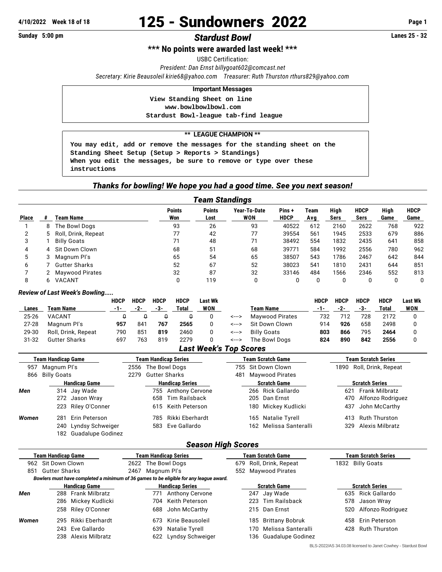# **4/10/2022** Week 18 of 18 **125 - Sundowners 2022** Page 1<br> **Sunday 5:00 pm**<br> **Ctardust Rowl**

# **Sunday 5:00 pm Stardust Bowl Stardust Bowl**

**\*\*\* No points were awarded last week! \*\*\***

USBC Certification:

*President: Dan Ernst [billygoat602@comcast.net](mailto:billygoat602@comcast.net)*

*Secretary: Kirie Beausoleil [kirie68@yahoo.com](mailto:kirie68@yahoo.com) Treasurer: Ruth Thurston [rthurs829@yahoo.com](mailto:rthurs829@yahoo.com)*

#### **Important Messages**

 **View Standing Sheet on line <www.bowlbowlbowl.com>**

 **Stardust Bowl-league tab-find league**

#### **\*\* LEAGUE CHAMPION \*\***

**You may edit, add or remove the messages for the standing sheet on the Standing Sheet Setup (Setup > Reports > Standings) When you edit the messages, be sure to remove or type over these instructions**

#### *Thanks for bowling! We hope you had a good time. See you next season!*

| <b>Team Standings</b> |   |                        |                      |                       |                            |                      |             |              |                     |              |                     |
|-----------------------|---|------------------------|----------------------|-----------------------|----------------------------|----------------------|-------------|--------------|---------------------|--------------|---------------------|
| <b>Place</b>          |   | Team Name              | <b>Points</b><br>Won | <b>Points</b><br>Lost | Year-To-Date<br><b>WON</b> | Pins+<br><b>HDCP</b> | Team<br>Avg | High<br>Sers | <b>HDCP</b><br>Sers | High<br>Game | <b>HDCP</b><br>Game |
|                       | 8 | The Bowl Dogs          | 93                   | 26                    | 93                         | 40522                | 612         | 2160         | 2622                | 768          | 922                 |
|                       | 5 | Roll, Drink, Repeat    | 77                   | 42                    | 77                         | 39554                | 561         | 1945         | 2533                | 679          | 886                 |
|                       |   | <b>Billy Goats</b>     | 71                   | 48                    | 71                         | 38492                | 554         | 1832         | 2435                | 641          | 858                 |
| 4                     | 4 | Sit Down Clown         | 68                   | 51                    | 68                         | 39771                | 584         | 1992         | 2556                | 780          | 962                 |
| 5                     |   | Magnum Pl's            | 65                   | 54                    | 65                         | 38507                | 543         | 1786         | 2467                | 642          | 844                 |
| 6                     |   | Gutter Sharks          | 52                   | 67                    | 52                         | 38023                | 541         | 1810         | 2431                | 644          | 851                 |
|                       |   | <b>Maywood Pirates</b> | 32                   | 87                    | 32                         | 33146                | 484         | 1566         | 2346                | 552          | 813                 |
|                       |   | VACANT                 |                      | 119                   | 0                          |                      |             |              | 0                   |              |                     |

#### *Review of Last Week's Bowling.....*

|           |                      | HDCP  | <b>HDCP</b>  | <b>HDCP</b> | <b>HDCP</b> | Last Wk |           |                        | <b>HDCP</b> | <b>HDCP</b> | HDCP | <b>HDCP</b> | <b>Last Wk</b> |
|-----------|----------------------|-------|--------------|-------------|-------------|---------|-----------|------------------------|-------------|-------------|------|-------------|----------------|
| Lanes     | Team Name            | $-1-$ | $-2-$        | -3-         | Total       | WON     | Team Name |                        | -1-         | -2-         | -3-  | Total       | <b>WON</b>     |
| 25-26     | <b>VACANT</b>        |       |              |             |             |         | <--->     | <b>Maywood Pirates</b> | 732         | 712         | 728  | 2172        |                |
| $27 - 28$ | Magnum Pl's          | 957   | 841          | 767         | 2565        |         | <--->     | Sit Down Clown         | 914         | 926         | 658  | 2498        |                |
| 29-30     | Roll, Drink, Repeat  | 790   | $85^{\circ}$ | 819         | 2460        |         | <--->     | <b>Billy Goats</b>     | 803         | 866         | 795  | 2464        |                |
| 31-32     | <b>Gutter Sharks</b> | 697   | 763          | 819         | 2279        |         | <--->     | The Bowl Dogs          | 824         | 890         | 842  | 2556        |                |
|           |                      |       |              |             |             | - ---   |           |                        |             |             |      |             |                |

## *Last Week's Top Scores*

| <b>Team Handicap Game</b> |                       | <b>Team Handicap Series</b> |                        |                     |                               |                    | <b>Team Scratch Game</b> | <b>Team Scratch Series</b> |                       |  |  |
|---------------------------|-----------------------|-----------------------------|------------------------|---------------------|-------------------------------|--------------------|--------------------------|----------------------------|-----------------------|--|--|
| 957<br>Magnum Pl's        |                       |                             | 2556 The Bowl Dogs     |                     |                               | 755 Sit Down Clown |                          | 1890                       | Roll, Drink, Repeat   |  |  |
| 866                       | Billy Goats           |                             | 2279 Gutter Sharks     |                     | <b>Maywood Pirates</b><br>481 |                    |                          |                            |                       |  |  |
|                           | <b>Handicap Game</b>  |                             | <b>Handicap Series</b> |                     |                               |                    | <b>Scratch Game</b>      | <b>Scratch Series</b>      |                       |  |  |
| Men                       | 314 Jay Wade          |                             |                        | 755 Anthony Cervone |                               |                    | 266 Rick Gallardo        | 621                        | Frank Milbratz        |  |  |
|                           | 272 Jason Wray        |                             | 658                    | Tim Railsback       |                               |                    | 205 Dan Ernst            |                            | 470 Alfonzo Rodriguez |  |  |
|                           | 223 Riley O'Conner    |                             |                        | 615 Keith Peterson  |                               |                    | 180 Mickey Kudlicki      | 437                        | John McCarthy         |  |  |
| Women                     | Erin Peterson<br>281  |                             | 785.                   | Rikki Eberhardt     |                               |                    | 165 Natalie Tyrell       | 413                        | <b>Ruth Thurston</b>  |  |  |
|                           | 240 Lyndsy Schweiger  |                             |                        | 583 Eve Gallardo    |                               |                    | 162 Melissa Santeralli   | 329                        | Alexis Milbratz       |  |  |
|                           | 182 Guadalupe Godinez |                             |                        |                     |                               |                    |                          |                            |                       |  |  |

## *Season High Scores*

|       | <b>Team Handicap Game</b> |                      | Team Handicap Series   |             |                                                                                        |     | <b>Team Scratch Game</b> | <b>Team Scratch Series</b> |                   |  |  |
|-------|---------------------------|----------------------|------------------------|-------------|----------------------------------------------------------------------------------------|-----|--------------------------|----------------------------|-------------------|--|--|
|       | 962 Sit Down Clown        |                      |                        |             | 2622 The Bowl Dogs                                                                     |     | 679 Roll, Drink, Repeat  |                            | 1832 Billy Goats  |  |  |
| 851   | Gutter Sharks             |                      | 2467                   | Magnum Pl's |                                                                                        |     | 552 Maywood Pirates      |                            |                   |  |  |
|       |                           |                      |                        |             | Bowlers must have completed a minimum of 36 games to be eligible for any league award. |     |                          |                            |                   |  |  |
|       |                           | <b>Handicap Game</b> | <b>Handicap Series</b> |             |                                                                                        |     | <b>Scratch Game</b>      | <b>Scratch Series</b>      |                   |  |  |
| Men   |                           | 288 Frank Milbratz   |                        | 771         | <b>Anthony Cervone</b>                                                                 |     | 247 Jay Wade             |                            | 635 Rick Gallardo |  |  |
|       |                           | 286 Mickey Kudlicki  |                        |             | 704 Keith Peterson                                                                     |     | 223 Tim Railsback        | 578                        | Jason Wray        |  |  |
|       |                           | 258 Riley O'Conner   |                        | 688         | John McCarthy                                                                          |     | 215 Dan Ernst            | 520                        | Alfonzo Rodriguez |  |  |
| Women |                           | 295 Rikki Eberhardt  |                        | 673         | Kirie Beausoleil                                                                       |     | 185 Brittany Bobruk      | 458                        | Erin Peterson     |  |  |
|       |                           | 243 Eve Gallardo     |                        | 639         | Natalie Tyrell                                                                         | 170 | Melissa Santeralli       |                            | 428 Ruth Thurston |  |  |
|       |                           | 238 Alexis Milbratz  |                        |             | 622 Lyndsy Schweiger                                                                   | 136 | Guadalupe Godinez        |                            |                   |  |  |